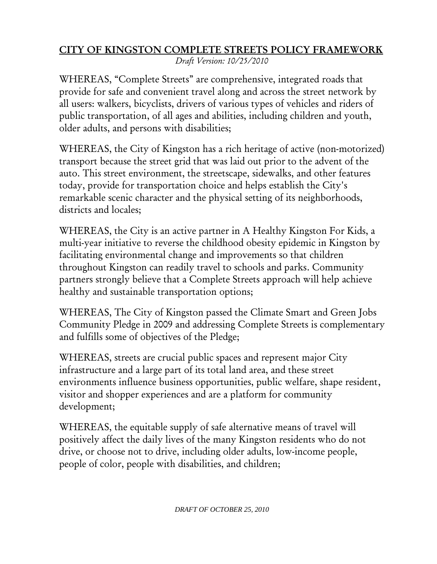## CITY OF KINGSTON COMPLETE STREETS POLICY FRAMEWORK

*Draft Version: 10/25/2010*

WHEREAS, "Complete Streets" are comprehensive, integrated roads that provide for safe and convenient travel along and across the street network by all users: walkers, bicyclists, drivers of various types of vehicles and riders of public transportation, of all ages and abilities, including children and youth, older adults, and persons with disabilities;

WHEREAS, the City of Kingston has a rich heritage of active (non-motorized) transport because the street grid that was laid out prior to the advent of the auto. This street environment, the streetscape, sidewalks, and other features today, provide for transportation choice and helps establish the City's remarkable scenic character and the physical setting of its neighborhoods, districts and locales;

WHEREAS, the City is an active partner in A Healthy Kingston For Kids, a multi-year initiative to reverse the childhood obesity epidemic in Kingston by facilitating environmental change and improvements so that children throughout Kingston can readily travel to schools and parks. Community partners strongly believe that a Complete Streets approach will help achieve healthy and sustainable transportation options;

WHEREAS, The City of Kingston passed the Climate Smart and Green Jobs Community Pledge in 2009 and addressing Complete Streets is complementary and fulfills some of objectives of the Pledge;

WHEREAS, streets are crucial public spaces and represent major City infrastructure and a large part of its total land area, and these street environments influence business opportunities, public welfare, shape resident, visitor and shopper experiences and are a platform for community development;

WHEREAS, the equitable supply of safe alternative means of travel will positively affect the daily lives of the many Kingston residents who do not drive, or choose not to drive, including older adults, low-income people, people of color, people with disabilities, and children;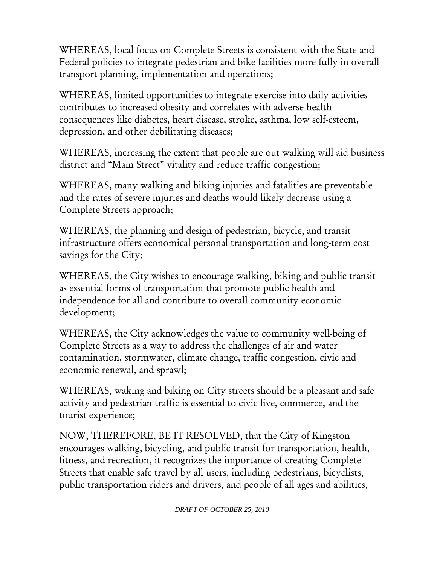WHEREAS, local focus on Complete Streets is consistent with the State and Federal policies to integrate pedestrian and bike facilities more fully in overall transport planning, implementation and operations;

WHEREAS, limited opportunities to integrate exercise into daily activities contributes to increased obesity and correlates with adverse health consequences like diabetes, heart disease, stroke, asthma, low self-esteem, depression, and other debilitating diseases;

WHEREAS, increasing the extent that people are out walking will aid business district and "Main Street" vitality and reduce traffic congestion;

WHEREAS, many walking and biking injuries and fatalities are preventable and the rates of severe injuries and deaths would likely decrease using a Complete Streets approach;

WHEREAS, the planning and design of pedestrian, bicycle, and transit infrastructure offers economical personal transportation and long-term cost savings for the City;

WHEREAS, the City wishes to encourage walking, biking and public transit as essential forms of transportation that promote public health and independence for all and contribute to overall community economic development;

WHEREAS, the City acknowledges the value to community well-being of Complete Streets as a way to address the challenges of air and water contamination, stormwater, climate change, traffic congestion, civic and economic renewal, and sprawl;

WHEREAS, waking and biking on City streets should be a pleasant and safe activity and pedestrian traffic is essential to civic live, commerce, and the tourist experience;

NOW, THEREFORE, BE IT RESOLVED, that the City of Kingston encourages walking, bicycling, and public transit for transportation, health, fitness, and recreation, it recognizes the importance of creating Complete Streets that enable safe travel by all users, including pedestrians, bicyclists, public transportation riders and drivers, and people of all ages and abilities,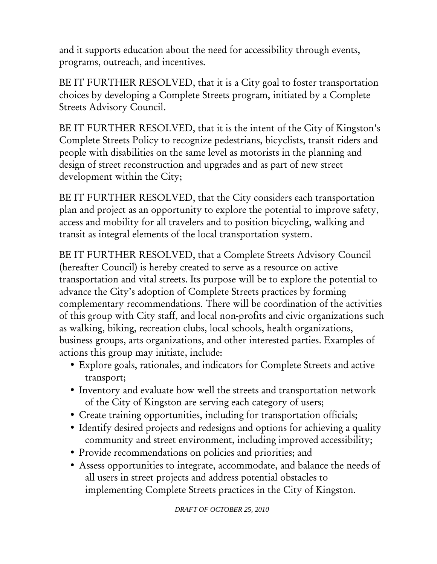and it supports education about the need for accessibility through events, programs, outreach, and incentives.

BE IT FURTHER RESOLVED, that it is a City goal to foster transportation choices by developing a Complete Streets program, initiated by a Complete Streets Advisory Council.

BE IT FURTHER RESOLVED, that it is the intent of the City of Kingston's Complete Streets Policy to recognize pedestrians, bicyclists, transit riders and people with disabilities on the same level as motorists in the planning and design of street reconstruction and upgrades and as part of new street development within the City;

BE IT FURTHER RESOLVED, that the City considers each transportation plan and project as an opportunity to explore the potential to improve safety, access and mobility for all travelers and to position bicycling, walking and transit as integral elements of the local transportation system.

BE IT FURTHER RESOLVED, that a Complete Streets Advisory Council (hereafter Council) is hereby created to serve as a resource on active transportation and vital streets. Its purpose will be to explore the potential to advance the City's adoption of Complete Streets practices by forming complementary recommendations. There will be coordination of the activities of this group with City staff, and local non-profits and civic organizations such as walking, biking, recreation clubs, local schools, health organizations, business groups, arts organizations, and other interested parties. Examples of actions this group may initiate, include:

- Explore goals, rationales, and indicators for Complete Streets and active transport;
- Inventory and evaluate how well the streets and transportation network of the City of Kingston are serving each category of users;
- Create training opportunities, including for transportation officials;
- Identify desired projects and redesigns and options for achieving a quality community and street environment, including improved accessibility;
- Provide recommendations on policies and priorities; and
- Assess opportunities to integrate, accommodate, and balance the needs of all users in street projects and address potential obstacles to implementing Complete Streets practices in the City of Kingston.